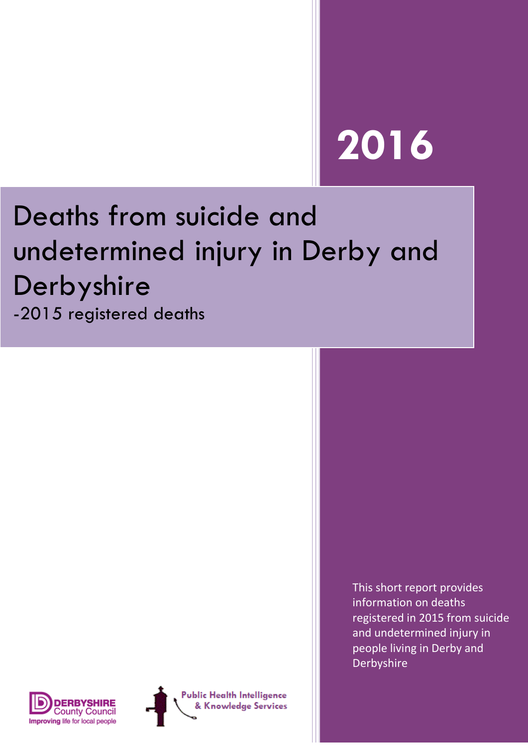# **2016**

# Deaths from suicide and undetermined injury in Derby and Derbyshire

-2015 registered deaths



**Public Health Intelligence** & Knowledge Services This short report provides information on deaths registered in 2015 from suicide and undetermined injury in people living in Derby and Derbyshire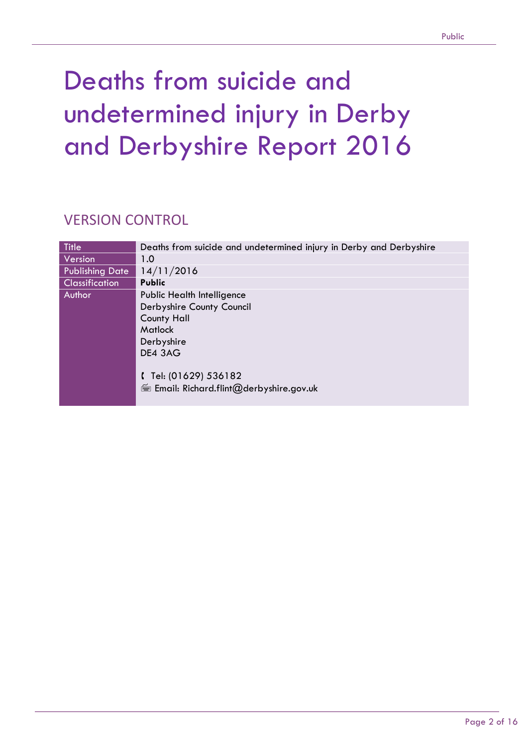## Deaths from suicide and undetermined injury in Derby and Derbyshire Report 2016

### VERSION CONTROL

| <b>Title</b>           | Deaths from suicide and undetermined injury in Derby and Derbyshire |
|------------------------|---------------------------------------------------------------------|
| Version                | 1.0                                                                 |
| <b>Publishing Date</b> | 14/11/2016                                                          |
| <b>Classification</b>  | <b>Public</b>                                                       |
| Author                 | Public Health Intelligence                                          |
|                        | Derbyshire County Council                                           |
|                        | <b>County Hall</b>                                                  |
|                        | Matlock                                                             |
|                        | Derbyshire                                                          |
|                        | DE4 3AG                                                             |
|                        | $[$ Tel: (01629) 536182<br>Email: Richard.flint@derbyshire.gov.uk   |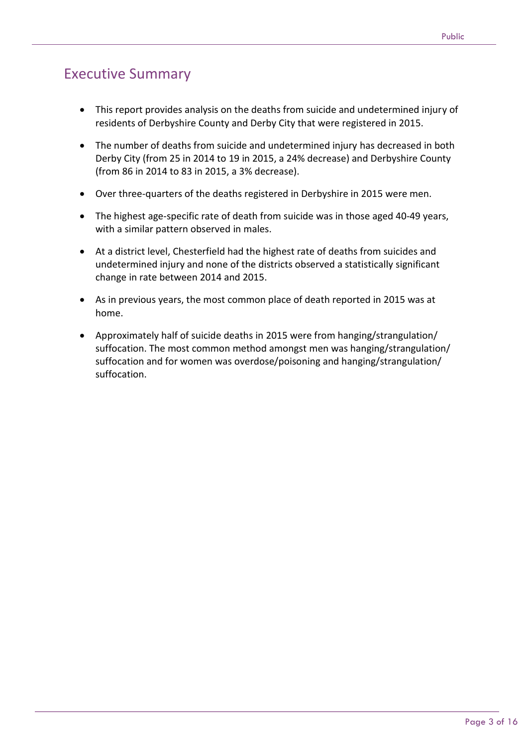### Executive Summary

- This report provides analysis on the deaths from suicide and undetermined injury of residents of Derbyshire County and Derby City that were registered in 2015.
- The number of deaths from suicide and undetermined injury has decreased in both Derby City (from 25 in 2014 to 19 in 2015, a 24% decrease) and Derbyshire County (from 86 in 2014 to 83 in 2015, a 3% decrease).
- Over three-quarters of the deaths registered in Derbyshire in 2015 were men.
- The highest age-specific rate of death from suicide was in those aged 40-49 years, with a similar pattern observed in males.
- At a district level, Chesterfield had the highest rate of deaths from suicides and undetermined injury and none of the districts observed a statistically significant change in rate between 2014 and 2015.
- As in previous years, the most common place of death reported in 2015 was at home.
- Approximately half of suicide deaths in 2015 were from hanging/strangulation/ suffocation. The most common method amongst men was hanging/strangulation/ suffocation and for women was overdose/poisoning and hanging/strangulation/ suffocation.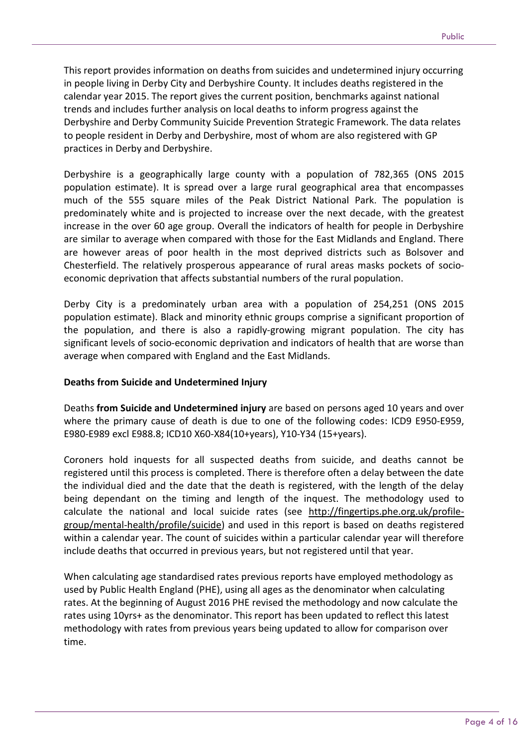This report provides information on deaths from suicides and undetermined injury occurring in people living in Derby City and Derbyshire County. It includes deaths registered in the calendar year 2015. The report gives the current position, benchmarks against national trends and includes further analysis on local deaths to inform progress against the Derbyshire and Derby Community Suicide Prevention Strategic Framework. The data relates to people resident in Derby and Derbyshire, most of whom are also registered with GP practices in Derby and Derbyshire.

Derbyshire is a geographically large county with a population of 782,365 (ONS 2015 population estimate). It is spread over a large rural geographical area that encompasses much of the 555 square miles of the Peak District National Park. The population is predominately white and is projected to increase over the next decade, with the greatest increase in the over 60 age group. Overall the indicators of health for people in Derbyshire are similar to average when compared with those for the East Midlands and England. There are however areas of poor health in the most deprived districts such as Bolsover and Chesterfield. The relatively prosperous appearance of rural areas masks pockets of socioeconomic deprivation that affects substantial numbers of the rural population.

Derby City is a predominately urban area with a population of 254,251 (ONS 2015 population estimate). Black and minority ethnic groups comprise a significant proportion of the population, and there is also a rapidly-growing migrant population. The city has significant levels of socio-economic deprivation and indicators of health that are worse than average when compared with England and the East Midlands.

#### **Deaths from Suicide and Undetermined Injury**

Deaths **from Suicide and Undetermined injury** are based on persons aged 10 years and over where the primary cause of death is due to one of the following codes: ICD9 E950-E959, E980-E989 excl E988.8; ICD10 X60-X84(10+years), Y10-Y34 (15+years).

Coroners hold inquests for all suspected deaths from suicide, and deaths cannot be registered until this process is completed. There is therefore often a delay between the date the individual died and the date that the death is registered, with the length of the delay being dependant on the timing and length of the inquest. The methodology used to calculate the national and local suicide rates (see [http://fingertips.phe.org.uk/profile](http://fingertips.phe.org.uk/profile-group/mental-health/profile/suicide)[group/mental-health/profile/suicide\)](http://fingertips.phe.org.uk/profile-group/mental-health/profile/suicide) and used in this report is based on deaths registered within a calendar year. The count of suicides within a particular calendar year will therefore include deaths that occurred in previous years, but not registered until that year.

When calculating age standardised rates previous reports have employed methodology as used by Public Health England (PHE), using all ages as the denominator when calculating rates. At the beginning of August 2016 PHE revised the methodology and now calculate the rates using 10yrs+ as the denominator. This report has been updated to reflect this latest methodology with rates from previous years being updated to allow for comparison over time.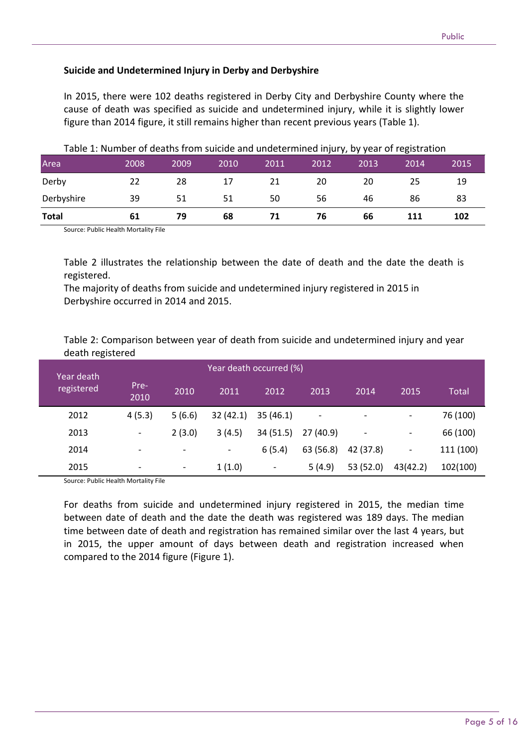#### **Suicide and Undetermined Injury in Derby and Derbyshire**

In 2015, there were 102 deaths registered in Derby City and Derbyshire County where the cause of death was specified as suicide and undetermined injury, while it is slightly lower figure than 2014 figure, it still remains higher than recent previous years (Table 1).

| Area         | 2008 | 2009 | 2010 | 2011 | 2012 | $ 2013\rangle$ | 2014 | 2015 |
|--------------|------|------|------|------|------|----------------|------|------|
| Derby        | 22   | 28   | 17   | 21   | 20   | 20             | 25   | 19   |
| Derbyshire   | 39   | 51   | 51   | 50   | 56   | 46             | 86   | 83   |
| <b>Total</b> | 61   | 79   | 68   | 71   | 76   | 66             | 111  | 102  |

Table 1: Number of deaths from suicide and undetermined injury, by year of registration

Source: Public Health Mortality File

Table 2 illustrates the relationship between the date of death and the date the death is registered.

The majority of deaths from suicide and undetermined injury registered in 2015 in Derbyshire occurred in 2014 and 2015.

Table 2: Comparison between year of death from suicide and undetermined injury and year death registered

| Year death |                          |                          | Year death occurred (%)  |                          |           |           |                          |              |
|------------|--------------------------|--------------------------|--------------------------|--------------------------|-----------|-----------|--------------------------|--------------|
| registered | Pre-<br>2010             | 2010                     | 2011                     | 2012                     | 2013      | 2014      | 2015                     | <b>Total</b> |
| 2012       | 4(5.3)                   | 5(6.6)                   | 32(42.1)                 | 35(46.1)                 |           |           | -                        | 76 (100)     |
| 2013       | $\overline{\phantom{a}}$ | 2(3.0)                   | 3(4.5)                   | 34(51.5)                 | 27(40.9)  |           | $\qquad \qquad -$        | 66 (100)     |
| 2014       | $\overline{\phantom{a}}$ | $\overline{\phantom{a}}$ | $\overline{\phantom{a}}$ | 6(5.4)                   | 63 (56.8) | 42 (37.8) | $\overline{\phantom{a}}$ | 111 (100)    |
| 2015       | $\overline{\phantom{a}}$ | $\overline{\phantom{a}}$ | 1(1.0)                   | $\overline{\phantom{a}}$ | 5(4.9)    | 53 (52.0) | 43(42.2)                 | 102(100)     |

Source: Public Health Mortality File

For deaths from suicide and undetermined injury registered in 2015, the median time between date of death and the date the death was registered was 189 days. The median time between date of death and registration has remained similar over the last 4 years, but in 2015, the upper amount of days between death and registration increased when compared to the 2014 figure (Figure 1).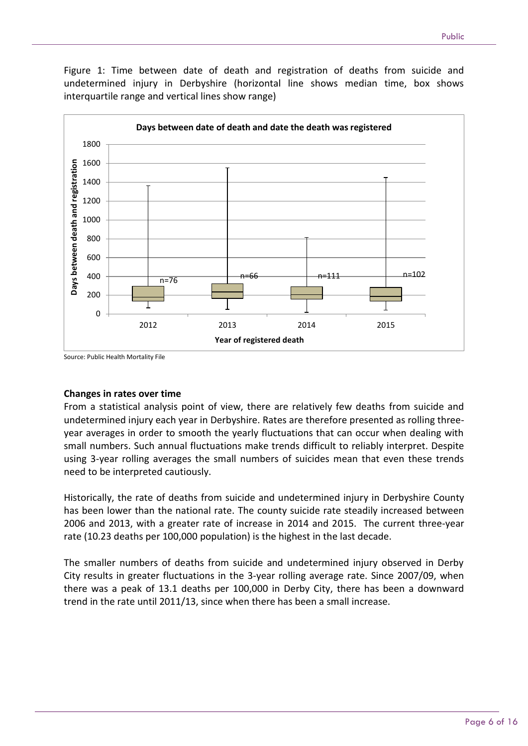Figure 1: Time between date of death and registration of deaths from suicide and undetermined injury in Derbyshire (horizontal line shows median time, box shows interquartile range and vertical lines show range)



#### Source: Public Health Mortality File

#### **Changes in rates over time**

From a statistical analysis point of view, there are relatively few deaths from suicide and undetermined injury each year in Derbyshire. Rates are therefore presented as rolling threeyear averages in order to smooth the yearly fluctuations that can occur when dealing with small numbers. Such annual fluctuations make trends difficult to reliably interpret. Despite using 3-year rolling averages the small numbers of suicides mean that even these trends need to be interpreted cautiously.

Historically, the rate of deaths from suicide and undetermined injury in Derbyshire County has been lower than the national rate. The county suicide rate steadily increased between 2006 and 2013, with a greater rate of increase in 2014 and 2015. The current three-year rate (10.23 deaths per 100,000 population) is the highest in the last decade.

The smaller numbers of deaths from suicide and undetermined injury observed in Derby City results in greater fluctuations in the 3-year rolling average rate. Since 2007/09, when there was a peak of 13.1 deaths per 100,000 in Derby City, there has been a downward trend in the rate until 2011/13, since when there has been a small increase.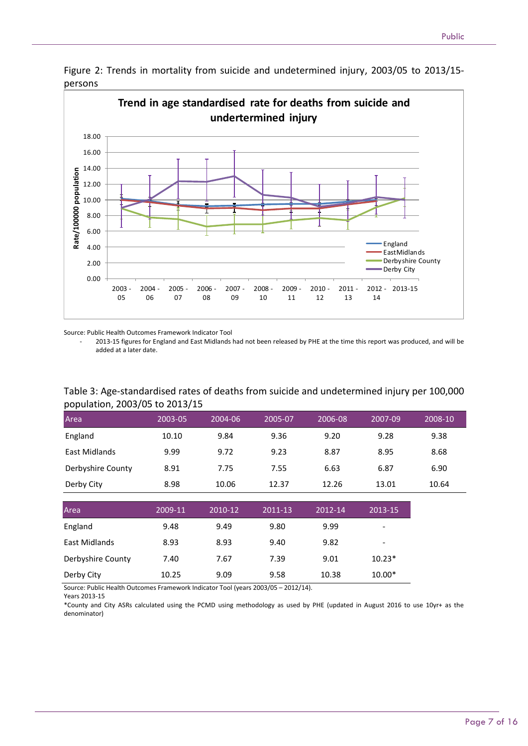

Figure 2: Trends in mortality from suicide and undetermined injury, 2003/05 to 2013/15 persons

Source: Public Health Outcomes Framework Indicator Tool

- 2013-15 figures for England and East Midlands had not been released by PHE at the time this report was produced, and will be added at a later date.

#### Table 3: Age-standardised rates of deaths from suicide and undetermined injury per 100,000 population, 2003/05 to 2013/15

| Area              | 2003-05 | 2004-06 | 2005-07 | 2006-08 | 2007-09 | 2008-10 |
|-------------------|---------|---------|---------|---------|---------|---------|
| England           | 10.10   | 9.84    | 9.36    | 9.20    | 9.28    | 9.38    |
| East Midlands     | 9.99    | 9.72    | 9.23    | 8.87    | 8.95    | 8.68    |
| Derbyshire County | 8.91    | 7.75    | 7.55    | 6.63    | 6.87    | 6.90    |
| Derby City        | 8.98    | 10.06   | 12.37   | 12.26   | 13.01   | 10.64   |

| Area              | 2009-11 | 2010-12 | 2011-13 | 2012-14 | 2013-15                  |
|-------------------|---------|---------|---------|---------|--------------------------|
| England           | 9.48    | 9.49    | 9.80    | 9.99    | $\overline{\phantom{a}}$ |
| East Midlands     | 8.93    | 8.93    | 9.40    | 9.82    | $\overline{\phantom{a}}$ |
| Derbyshire County | 7.40    | 7.67    | 7.39    | 9.01    | $10.23*$                 |
| Derby City        | 10.25   | 9.09    | 9.58    | 10.38   | $10.00*$                 |

Source: Public Health Outcomes Framework Indicator Tool (years 2003/05 – 2012/14).

Years 2013-15

\*County and City ASRs calculated using the PCMD using methodology as used by PHE (updated in August 2016 to use 10yr+ as the denominator)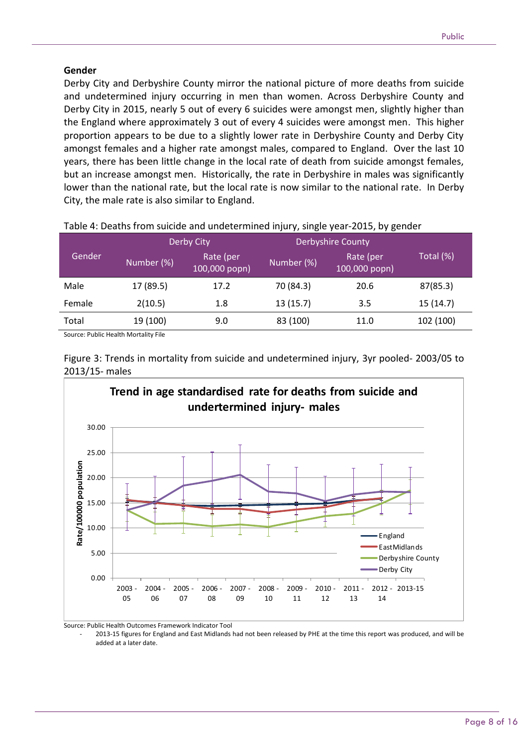#### **Gender**

Derby City and Derbyshire County mirror the national picture of more deaths from suicide and undetermined injury occurring in men than women. Across Derbyshire County and Derby City in 2015, nearly 5 out of every 6 suicides were amongst men, slightly higher than the England where approximately 3 out of every 4 suicides were amongst men. This higher proportion appears to be due to a slightly lower rate in Derbyshire County and Derby City amongst females and a higher rate amongst males, compared to England. Over the last 10 years, there has been little change in the local rate of death from suicide amongst females, but an increase amongst men. Historically, the rate in Derbyshire in males was significantly lower than the national rate, but the local rate is now similar to the national rate. In Derby City, the male rate is also similar to England.

|        |            | Derby City                 | <b>Derbyshire County</b> |                                      |           |
|--------|------------|----------------------------|--------------------------|--------------------------------------|-----------|
| Gender | Number (%) | Rate (per<br>100,000 popn) | Number (%)               | Rate (per<br>$(100,000~\text{popn})$ | Total (%) |
| Male   | 17 (89.5)  | 17.2                       | 70 (84.3)                | 20.6                                 | 87(85.3)  |
| Female | 2(10.5)    | 1.8                        | 13(15.7)                 | 3.5                                  | 15(14.7)  |
| Total  | 19 (100)   | 9.0                        | 83 (100)                 | 11.0                                 | 102 (100) |

Table 4: Deaths from suicide and undetermined injury, single year-2015, by gender

Source: Public Health Mortality File





Source: Public Health Outcomes Framework Indicator Tool

- 2013-15 figures for England and East Midlands had not been released by PHE at the time this report was produced, and will be added at a later date.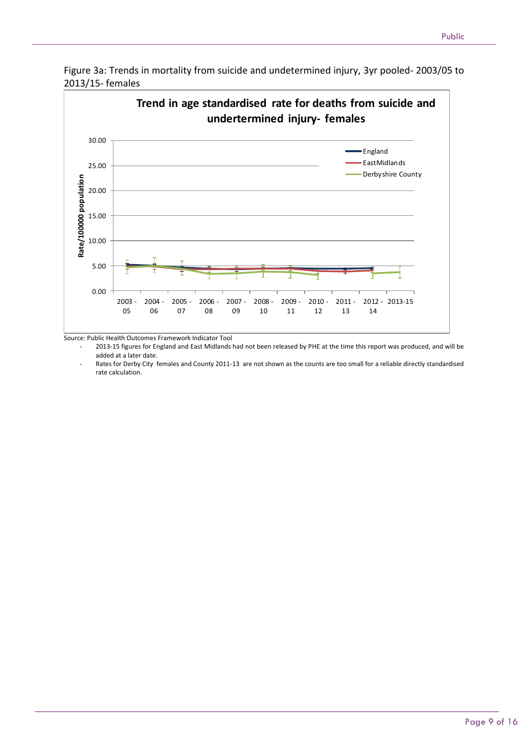

Figure 3a: Trends in mortality from suicide and undetermined injury, 3yr pooled- 2003/05 to 2013/15- females

Source: Public Health Outcomes Framework Indicator Tool

- 2013-15 figures for England and East Midlands had not been released by PHE at the time this report was produced, and will be added at a later date.

Rates for Derby City females and County 2011-13 are not shown as the counts are too small for a reliable directly standardised rate calculation.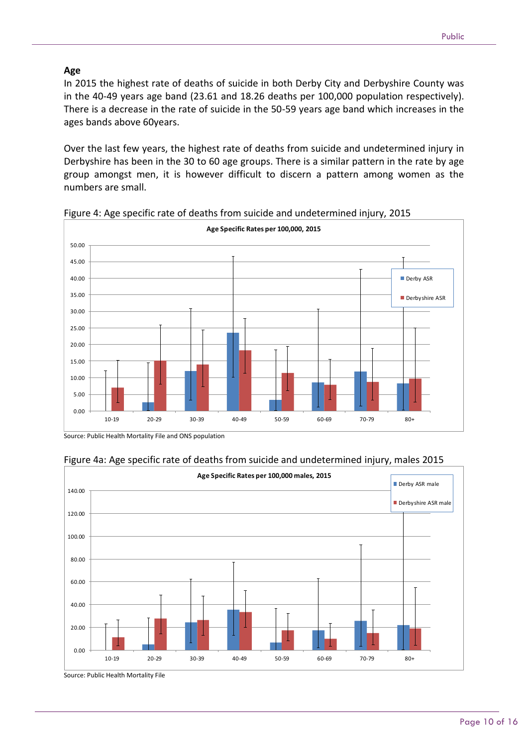#### **Age**

In 2015 the highest rate of deaths of suicide in both Derby City and Derbyshire County was in the 40-49 years age band (23.61 and 18.26 deaths per 100,000 population respectively). There is a decrease in the rate of suicide in the 50-59 years age band which increases in the ages bands above 60years.

Over the last few years, the highest rate of deaths from suicide and undetermined injury in Derbyshire has been in the 30 to 60 age groups. There is a similar pattern in the rate by age group amongst men, it is however difficult to discern a pattern among women as the numbers are small.



Figure 4: Age specific rate of deaths from suicide and undetermined injury, 2015

Source: Public Health Mortality File and ONS population





Source: Public Health Mortality File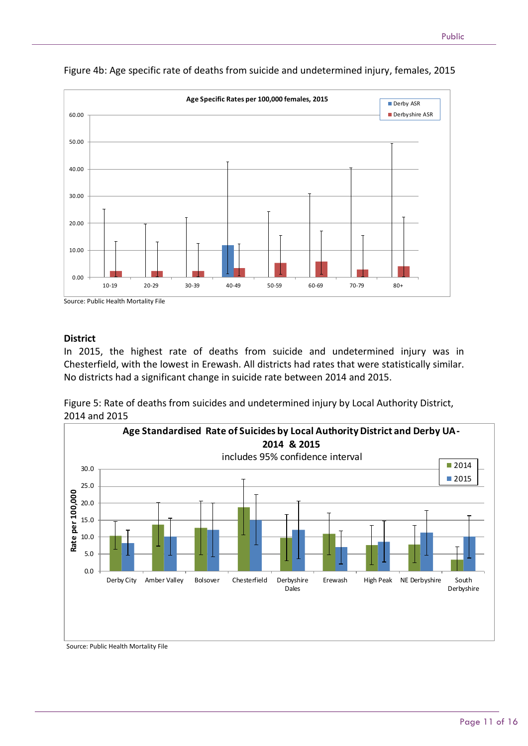

Figure 4b: Age specific rate of deaths from suicide and undetermined injury, females, 2015

Source: Public Health Mortality File

#### **District**

0.00

10.00

20.00

30.00

40.00

50.00

60.00

In 2015, the highest rate of deaths from suicide and undetermined injury was in Chesterfield, with the lowest in Erewash. All districts had rates that were statistically similar. No districts had a significant change in suicide rate between 2014 and 2015.

10-19 20-29 30-39 40-49 50-59 60-69 70-79 80+

Figure 5: Rate of deaths from suicides and undetermined injury by Local Authority District, 2014 and 2015



Source: Public Health Mortality File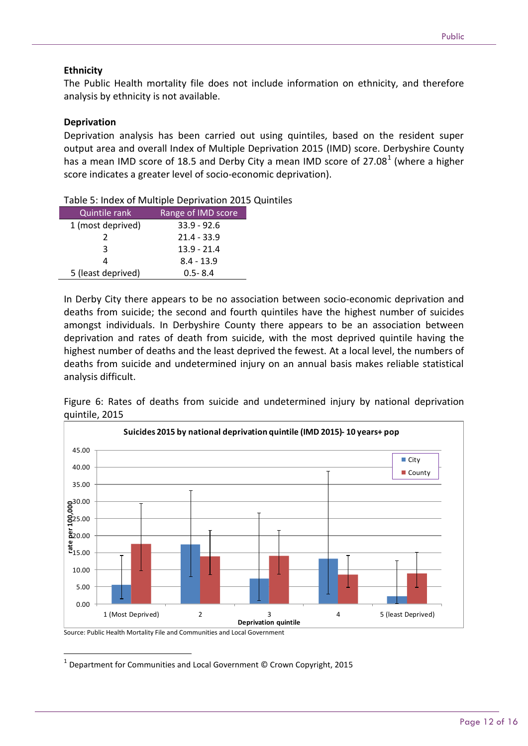#### **Ethnicity**

The Public Health mortality file does not include information on ethnicity, and therefore analysis by ethnicity is not available.

#### **Deprivation**

Deprivation analysis has been carried out using quintiles, based on the resident super output area and overall Index of Multiple Deprivation 2015 (IMD) score. Derbyshire County has a mean IMD score of 18.5 and Derby City a mean IMD score of 27.08 $^1$  (where a higher score indicates a greater level of socio-economic deprivation).

| <b>Quintile rank</b> | Range of IMD score |
|----------------------|--------------------|
| 1 (most deprived)    | $33.9 - 92.6$      |
| $\mathcal{P}$        | $21.4 - 33.9$      |
| ર                    | $13.9 - 21.4$      |
| 4                    | $8.4 - 13.9$       |
| 5 (least deprived)   | $0.5 - 8.4$        |

Table 5: Index of Multiple Deprivation 2015 Quintiles

In Derby City there appears to be no association between socio-economic deprivation and deaths from suicide; the second and fourth quintiles have the highest number of suicides amongst individuals. In Derbyshire County there appears to be an association between deprivation and rates of death from suicide, with the most deprived quintile having the highest number of deaths and the least deprived the fewest. At a local level, the numbers of deaths from suicide and undetermined injury on an annual basis makes reliable statistical analysis difficult.

Figure 6: Rates of deaths from suicide and undetermined injury by national deprivation quintile, 2015



Source: Public Health Mortality File and Communities and Local Government

**.** 

1 Department for Communities and Local Government © Crown Copyright, 2015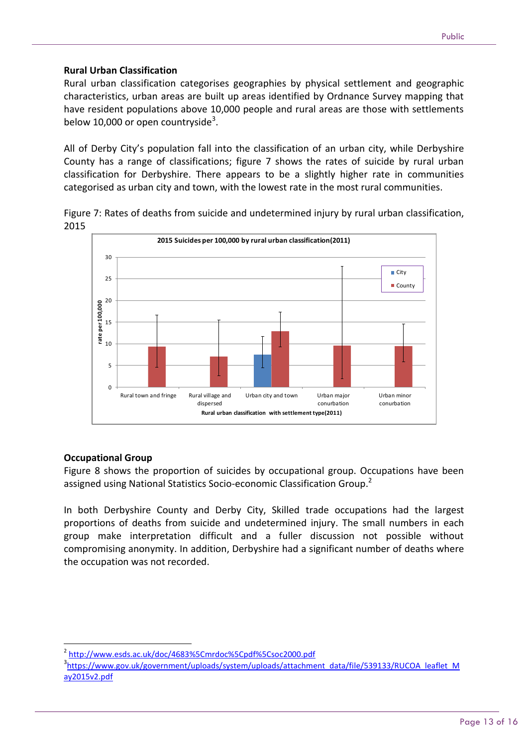#### **Rural Urban Classification**

Rural urban classification categorises geographies by physical settlement and geographic characteristics, urban areas are built up areas identified by Ordnance Survey mapping that have resident populations above 10,000 people and rural areas are those with settlements below 10,000 or open countryside<sup>3</sup>.

All of Derby City's population fall into the classification of an urban city, while Derbyshire County has a range of classifications; figure 7 shows the rates of suicide by rural urban classification for Derbyshire. There appears to be a slightly higher rate in communities categorised as urban city and town, with the lowest rate in the most rural communities.

Figure 7: Rates of deaths from suicide and undetermined injury by rural urban classification, 2015



#### **Occupational Group**

Figure 8 shows the proportion of suicides by occupational group. Occupations have been assigned using National Statistics Socio-economic Classification Group.<sup>2</sup>

In both Derbyshire County and Derby City, Skilled trade occupations had the largest proportions of deaths from suicide and undetermined injury. The small numbers in each group make interpretation difficult and a fuller discussion not possible without compromising anonymity. In addition, Derbyshire had a significant number of deaths where the occupation was not recorded.

 $\overline{a}$ 2 <http://www.esds.ac.uk/doc/4683%5Cmrdoc%5Cpdf%5Csoc2000.pdf>

<sup>&</sup>lt;sup>3</sup>[https://www.gov.uk/government/uploads/system/uploads/attachment\\_data/file/539133/RUCOA\\_leaflet\\_M](https://www.gov.uk/government/uploads/system/uploads/attachment_data/file/539133/RUCOA_leaflet_May2015v2.pdf) [ay2015v2.pdf](https://www.gov.uk/government/uploads/system/uploads/attachment_data/file/539133/RUCOA_leaflet_May2015v2.pdf)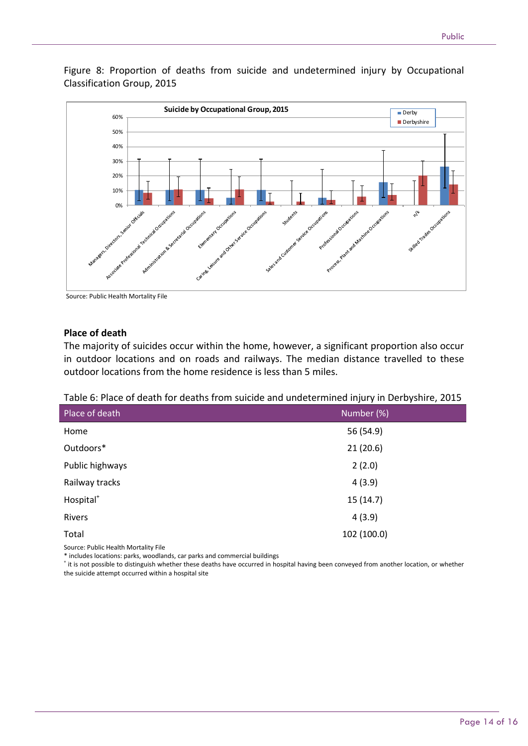Figure 8: Proportion of deaths from suicide and undetermined injury by Occupational Classification Group, 2015



Source: Public Health Mortality File

#### **Place of death**

The majority of suicides occur within the home, however, a significant proportion also occur in outdoor locations and on roads and railways. The median distance travelled to these outdoor locations from the home residence is less than 5 miles.

| Table 6: Place of death for deaths from suicide and undetermined injury in Derbyshire, 2015 |  |  |  |
|---------------------------------------------------------------------------------------------|--|--|--|
|---------------------------------------------------------------------------------------------|--|--|--|

|                       | , ,<br>$\overline{\phantom{a}}$ |
|-----------------------|---------------------------------|
| Place of death        | Number (%)                      |
| Home                  | 56 (54.9)                       |
| Outdoors*             | 21(20.6)                        |
| Public highways       | 2(2.0)                          |
| Railway tracks        | 4(3.9)                          |
| Hospital <sup>+</sup> | 15(14.7)                        |
| Rivers                | 4(3.9)                          |
| Total                 | 102 (100.0)                     |
|                       |                                 |

Source: Public Health Mortality File

\* includes locations: parks, woodlands, car parks and commercial buildings

ti is not possible to distinguish whether these deaths have occurred in hospital having been conveyed from another location, or whether the suicide attempt occurred within a hospital site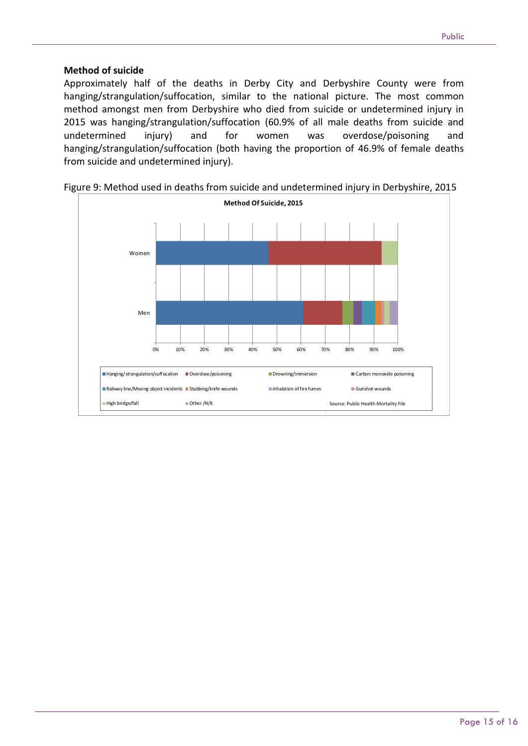#### **Method of suicide**

Approximately half of the deaths in Derby City and Derbyshire County were from hanging/strangulation/suffocation, similar to the national picture. The most common method amongst men from Derbyshire who died from suicide or undetermined injury in 2015 was hanging/strangulation/suffocation (60.9% of all male deaths from suicide and undetermined injury) and for women was overdose/poisoning and hanging/strangulation/suffocation (both having the proportion of 46.9% of female deaths from suicide and undetermined injury).



Figure 9: Method used in deaths from suicide and undetermined injury in Derbyshire, 2015